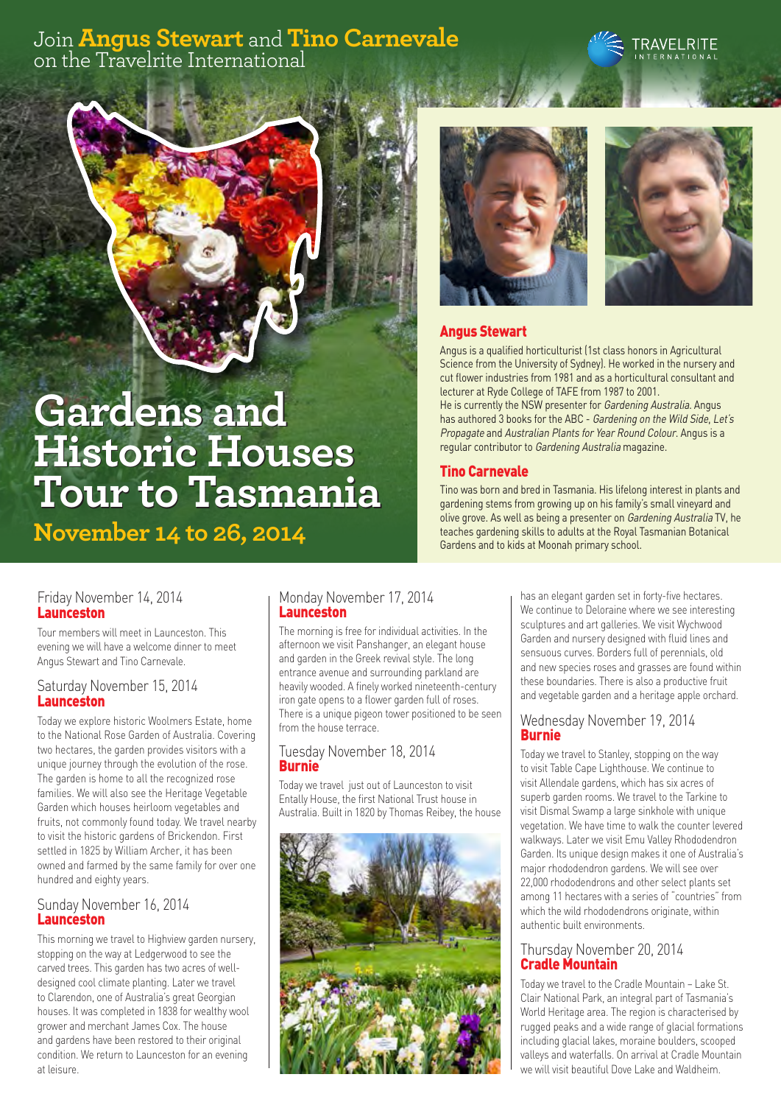# Join **Angus Stewart** and **Tino Carnevale** on the Travelrite International





**November 14 to 26, 2014**





## Angus Stewart

Angus is a qualified horticulturist (1st class honors in Agricultural Science from the University of Sydney). He worked in the nursery and cut flower industries from 1981 and as a horticultural consultant and lecturer at Ryde College of TAFE from 1987 to 2001.

He is currently the NSW presenter for Gardening Australia. Angus has authored 3 books for the ABC - Gardening on the Wild Side, Let's Propagate and Australian Plants for Year Round Colour. Angus is a regular contributor to Gardening Australia magazine.

Tino was born and bred in Tasmania. His lifelong interest in plants and gardening stems from growing up on his family's small vineyard and olive grove. As well as being a presenter on Gardening Australia TV, he teaches gardening skills to adults at the Royal Tasmanian Botanical Gardens and to kids at Moonah primary school.

#### Friday November 14, 2014 Launceston

Tour members will meet in Launceston. This evening we will have a welcome dinner to meet Angus Stewart and Tino Carnevale.

#### Saturday November 15, 2014 Launceston

Today we explore historic Woolmers Estate, home to the National Rose Garden of Australia. Covering two hectares, the garden provides visitors with a unique journey through the evolution of the rose. The garden is home to all the recognized rose families. We will also see the Heritage Vegetable Garden which houses heirloom vegetables and fruits, not commonly found today. We travel nearby to visit the historic gardens of Brickendon. First settled in 1825 by William Archer, it has been owned and farmed by the same family for over one hundred and eighty years.

#### Sunday November 16, 2014 Launceston

This morning we travel to Highview garden nursery, stopping on the way at Ledgerwood to see the carved trees. This garden has two acres of welldesigned cool climate planting. Later we travel to Clarendon, one of Australia's great Georgian houses. It was completed in 1838 for wealthy wool grower and merchant James Cox. The house and gardens have been restored to their original condition. We return to Launceston for an evening at leisure.

#### Monday November 17, 2014 Launceston

The morning is free for individual activities. In the afternoon we visit Panshanger, an elegant house and garden in the Greek revival style. The long entrance avenue and surrounding parkland are heavily wooded. A finely worked nineteenth-century iron gate opens to a flower garden full of roses. There is a unique pigeon tower positioned to be seen from the house terrace.

#### Tuesday November 18, 2014 **Burnie**

Today we travel just out of Launceston to visit Entally House, the first National Trust house in Australia. Built in 1820 by Thomas Reibey, the house



has an elegant garden set in forty-five hectares. We continue to Deloraine where we see interesting sculptures and art galleries. We visit Wychwood Garden and nursery designed with fluid lines and sensuous curves. Borders full of perennials, old and new species roses and grasses are found within these boundaries. There is also a productive fruit and vegetable garden and a heritage apple orchard.

#### Wednesday November 19, 2014 **Burnie**

Today we travel to Stanley, stopping on the way to visit Table Cape Lighthouse. We continue to visit Allendale gardens, which has six acres of superb garden rooms. We travel to the Tarkine to visit Dismal Swamp a large sinkhole with unique vegetation. We have time to walk the counter levered walkways. Later we visit Emu Valley Rhododendron Garden. Its unique design makes it one of Australia's major rhododendron gardens. We will see over 22,000 rhododendrons and other select plants set among 11 hectares with a series of "countries" from which the wild rhododendrons originate, within authentic built environments.

#### Thursday November 20, 2014 Cradle Mountain

Today we travel to the Cradle Mountain – Lake St. Clair National Park, an integral part of Tasmania's World Heritage area. The region is characterised by rugged peaks and a wide range of glacial formations including glacial lakes, moraine boulders, scooped valleys and waterfalls. On arrival at Cradle Mountain we will visit beautiful Dove Lake and Waldheim.